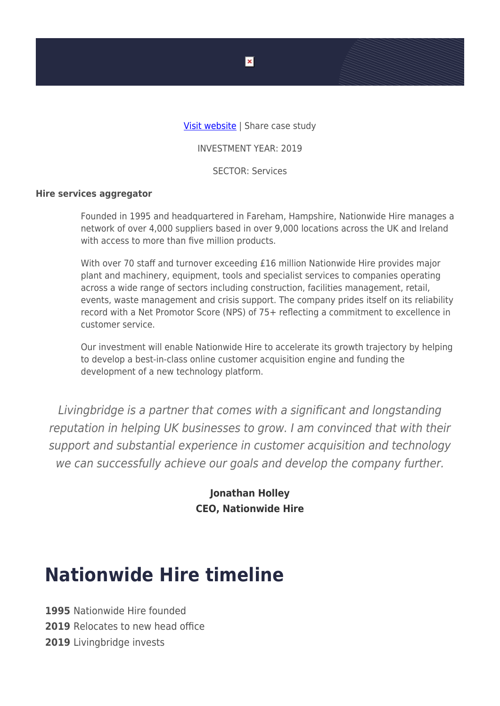

INVESTMENT YEAR: 2019

SECTOR: Services

## **Hire services aggregator**

Founded in 1995 and headquartered in Fareham, Hampshire, Nationwide Hire manages a network of over 4,000 suppliers based in over 9,000 locations across the UK and Ireland with access to more than five million products.

With over 70 staff and turnover exceeding £16 million Nationwide Hire provides major plant and machinery, equipment, tools and specialist services to companies operating across a wide range of sectors including construction, facilities management, retail, events, waste management and crisis support. The company prides itself on its reliability record with a Net Promotor Score (NPS) of 75+ reflecting a commitment to excellence in customer service.

Our investment will enable Nationwide Hire to accelerate its growth trajectory by helping to develop a best-in-class online customer acquisition engine and funding the development of a new technology platform.

Livingbridge is a partner that comes with a significant and longstanding reputation in helping UK businesses to grow. I am convinced that with their support and substantial experience in customer acquisition and technology we can successfully achieve our goals and develop the company further.

> **Jonathan Holley CEO, Nationwide Hire**

## **Nationwide Hire timeline**

**1995** Nationwide Hire founded **2019** Relocates to new head office **2019** Livingbridge invests